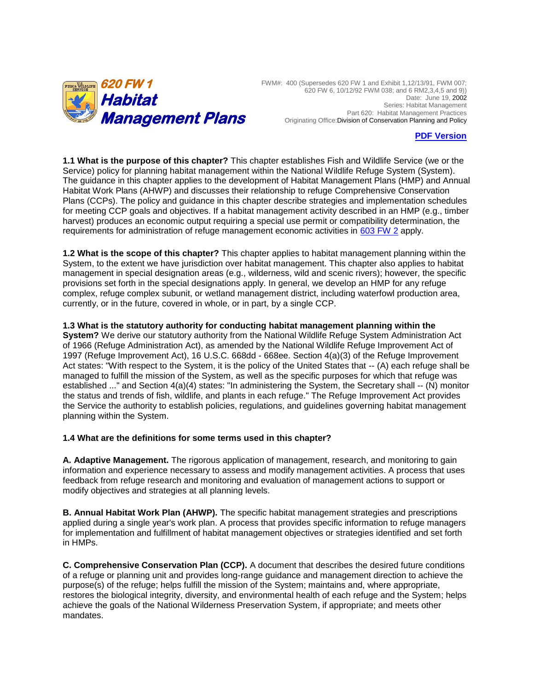

FWM#: 400 (Supersedes 620 FW 1 and Exhibit 1,12/13/91, FWM 007; 620 FW 6, 10/12/92 FWM 038; and 6 RM2,3,4,5 and 9)) Date: June 19, 2002 Series: Habitat Management Part 620: Habitat Management Practices Originating Office:Division of Conservation Planning and Policy

### **[PDF Version](https://www.fws.gov/policy/620fw1.pdf)**

**1.1 What is the purpose of this chapter?** This chapter establishes Fish and Wildlife Service (we or the Service) policy for planning habitat management within the National Wildlife Refuge System (System). The guidance in this chapter applies to the development of Habitat Management Plans (HMP) and Annual Habitat Work Plans (AHWP) and discusses their relationship to refuge Comprehensive Conservation Plans (CCPs). The policy and guidance in this chapter describe strategies and implementation schedules for meeting CCP goals and objectives. If a habitat management activity described in an HMP (e.g., timber harvest) produces an economic output requiring a special use permit or compatibility determination, the requirements for administration of refuge management economic activities in [603 FW 2](https://www.fws.gov/policy/603fw2.html) apply.

**1.2 What is the scope of this chapter?** This chapter applies to habitat management planning within the System, to the extent we have jurisdiction over habitat management. This chapter also applies to habitat management in special designation areas (e.g., wilderness, wild and scenic rivers); however, the specific provisions set forth in the special designations apply. In general, we develop an HMP for any refuge complex, refuge complex subunit, or wetland management district, including waterfowl production area, currently, or in the future, covered in whole, or in part, by a single CCP.

**1.3 What is the statutory authority for conducting habitat management planning within the** 

**System?** We derive our statutory authority from the National Wildlife Refuge System Administration Act of 1966 (Refuge Administration Act), as amended by the National Wildlife Refuge Improvement Act of 1997 (Refuge Improvement Act), 16 U.S.C. 668dd - 668ee. Section 4(a)(3) of the Refuge Improvement Act states: "With respect to the System, it is the policy of the United States that -- (A) each refuge shall be managed to fulfill the mission of the System, as well as the specific purposes for which that refuge was established ..." and Section 4(a)(4) states: "In administering the System, the Secretary shall -- (N) monitor the status and trends of fish, wildlife, and plants in each refuge." The Refuge Improvement Act provides the Service the authority to establish policies, regulations, and guidelines governing habitat management planning within the System.

### **1.4 What are the definitions for some terms used in this chapter?**

**A. Adaptive Management.** The rigorous application of management, research, and monitoring to gain information and experience necessary to assess and modify management activities. A process that uses feedback from refuge research and monitoring and evaluation of management actions to support or modify objectives and strategies at all planning levels.

**B. Annual Habitat Work Plan (AHWP).** The specific habitat management strategies and prescriptions applied during a single year's work plan. A process that provides specific information to refuge managers for implementation and fulfillment of habitat management objectives or strategies identified and set forth in HMPs.

**C. Comprehensive Conservation Plan (CCP).** A document that describes the desired future conditions of a refuge or planning unit and provides long-range guidance and management direction to achieve the purpose(s) of the refuge; helps fulfill the mission of the System; maintains and, where appropriate, restores the biological integrity, diversity, and environmental health of each refuge and the System; helps achieve the goals of the National Wilderness Preservation System, if appropriate; and meets other mandates.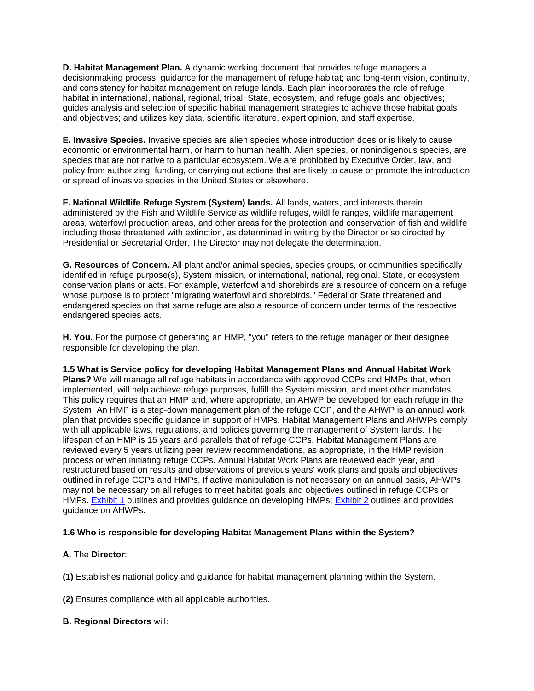**D. Habitat Management Plan.** A dynamic working document that provides refuge managers a decisionmaking process; guidance for the management of refuge habitat; and long-term vision, continuity, and consistency for habitat management on refuge lands. Each plan incorporates the role of refuge habitat in international, national, regional, tribal, State, ecosystem, and refuge goals and objectives; guides analysis and selection of specific habitat management strategies to achieve those habitat goals and objectives; and utilizes key data, scientific literature, expert opinion, and staff expertise.

**E. Invasive Species.** Invasive species are alien species whose introduction does or is likely to cause economic or environmental harm, or harm to human health. Alien species, or nonindigenous species, are species that are not native to a particular ecosystem. We are prohibited by Executive Order, law, and policy from authorizing, funding, or carrying out actions that are likely to cause or promote the introduction or spread of invasive species in the United States or elsewhere.

**F. National Wildlife Refuge System (System) lands.** All lands, waters, and interests therein administered by the Fish and Wildlife Service as wildlife refuges, wildlife ranges, wildlife management areas, waterfowl production areas, and other areas for the protection and conservation of fish and wildlife including those threatened with extinction, as determined in writing by the Director or so directed by Presidential or Secretarial Order. The Director may not delegate the determination.

**G. Resources of Concern.** All plant and/or animal species, species groups, or communities specifically identified in refuge purpose(s), System mission, or international, national, regional, State, or ecosystem conservation plans or acts. For example, waterfowl and shorebirds are a resource of concern on a refuge whose purpose is to protect "migrating waterfowl and shorebirds." Federal or State threatened and endangered species on that same refuge are also a resource of concern under terms of the respective endangered species acts.

**H. You.** For the purpose of generating an HMP, "you" refers to the refuge manager or their designee responsible for developing the plan.

**1.5 What is Service policy for developing Habitat Management Plans and Annual Habitat Work Plans?** We will manage all refuge habitats in accordance with approved CCPs and HMPs that, when implemented, will help achieve refuge purposes, fulfill the System mission, and meet other mandates. This policy requires that an HMP and, where appropriate, an AHWP be developed for each refuge in the System. An HMP is a step-down management plan of the refuge CCP, and the AHWP is an annual work plan that provides specific guidance in support of HMPs. Habitat Management Plans and AHWPs comply with all applicable laws, regulations, and policies governing the management of System lands. The lifespan of an HMP is 15 years and parallels that of refuge CCPs. Habitat Management Plans are reviewed every 5 years utilizing peer review recommendations, as appropriate, in the HMP revision process or when initiating refuge CCPs. Annual Habitat Work Plans are reviewed each year, and restructured based on results and observations of previous years' work plans and goals and objectives outlined in refuge CCPs and HMPs. If active manipulation is not necessary on an annual basis, AHWPs may not be necessary on all refuges to meet habitat goals and objectives outlined in refuge CCPs or HMPs. [Exhibit 1](https://www.fws.gov/policy/e1620fw1.html) outlines and provides guidance on developing HMPs; [Exhibit 2](https://www.fws.gov/policy/e2620fw1.html) outlines and provides guidance on AHWPs.

# **1.6 Who is responsible for developing Habitat Management Plans within the System?**

# **A.** The **Director**:

**(1)** Establishes national policy and guidance for habitat management planning within the System.

**(2)** Ensures compliance with all applicable authorities.

### **B. Regional Directors** will: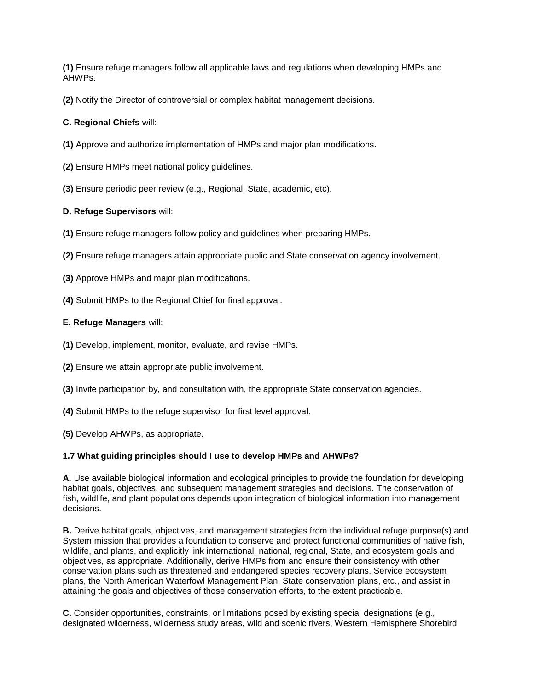**(1)** Ensure refuge managers follow all applicable laws and regulations when developing HMPs and AHWPs.

**(2)** Notify the Director of controversial or complex habitat management decisions.

### **C. Regional Chiefs** will:

- **(1)** Approve and authorize implementation of HMPs and major plan modifications.
- **(2)** Ensure HMPs meet national policy guidelines.
- **(3)** Ensure periodic peer review (e.g., Regional, State, academic, etc).

### **D. Refuge Supervisors** will:

- **(1)** Ensure refuge managers follow policy and guidelines when preparing HMPs.
- **(2)** Ensure refuge managers attain appropriate public and State conservation agency involvement.
- **(3)** Approve HMPs and major plan modifications.
- **(4)** Submit HMPs to the Regional Chief for final approval.

### **E. Refuge Managers** will:

- **(1)** Develop, implement, monitor, evaluate, and revise HMPs.
- **(2)** Ensure we attain appropriate public involvement.
- **(3)** Invite participation by, and consultation with, the appropriate State conservation agencies.
- **(4)** Submit HMPs to the refuge supervisor for first level approval.
- **(5)** Develop AHWPs, as appropriate.

### **1.7 What guiding principles should I use to develop HMPs and AHWPs?**

**A.** Use available biological information and ecological principles to provide the foundation for developing habitat goals, objectives, and subsequent management strategies and decisions. The conservation of fish, wildlife, and plant populations depends upon integration of biological information into management decisions.

**B.** Derive habitat goals, objectives, and management strategies from the individual refuge purpose(s) and System mission that provides a foundation to conserve and protect functional communities of native fish, wildlife, and plants, and explicitly link international, national, regional, State, and ecosystem goals and objectives, as appropriate. Additionally, derive HMPs from and ensure their consistency with other conservation plans such as threatened and endangered species recovery plans, Service ecosystem plans, the North American Waterfowl Management Plan, State conservation plans, etc., and assist in attaining the goals and objectives of those conservation efforts, to the extent practicable.

**C.** Consider opportunities, constraints, or limitations posed by existing special designations (e.g., designated wilderness, wilderness study areas, wild and scenic rivers, Western Hemisphere Shorebird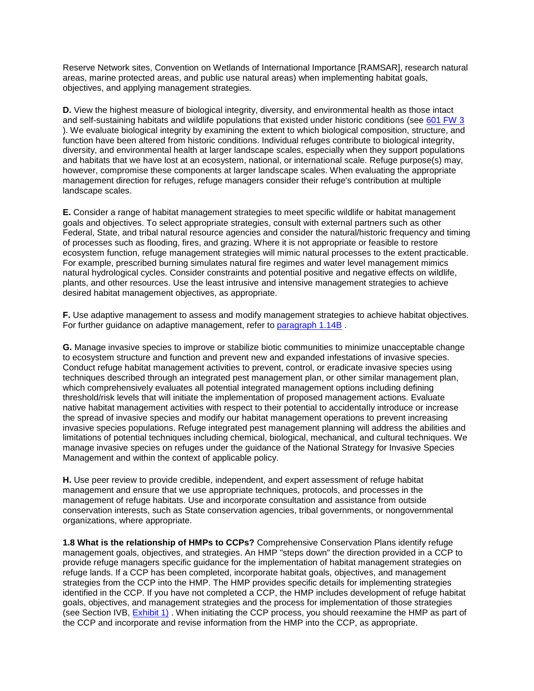Reserve Network sites, Convention on Wetlands of International Importance [RAMSAR], research natural areas, marine protected areas, and public use natural areas) when implementing habitat goals, objectives, and applying management strategies.

**D.** View the highest measure of biological integrity, diversity, and environmental health as those intact and self-sustaining habitats and wildlife populations that existed under historic conditions (see [601 FW 3](https://www.fws.gov/policy/601fw3.html) ). We evaluate biological integrity by examining the extent to which biological composition, structure, and function have been altered from historic conditions. Individual refuges contribute to biological integrity, diversity, and environmental health at larger landscape scales, especially when they support populations and habitats that we have lost at an ecosystem, national, or international scale. Refuge purpose(s) may, however, compromise these components at larger landscape scales. When evaluating the appropriate management direction for refuges, refuge managers consider their refuge's contribution at multiple landscape scales.

**E.** Consider a range of habitat management strategies to meet specific wildlife or habitat management goals and objectives. To select appropriate strategies, consult with external partners such as other Federal, State, and tribal natural resource agencies and consider the natural/historic frequency and timing of processes such as flooding, fires, and grazing. Where it is not appropriate or feasible to restore ecosystem function, refuge management strategies will mimic natural processes to the extent practicable. For example, prescribed burning simulates natural fire regimes and water level management mimics natural hydrological cycles. Consider constraints and potential positive and negative effects on wildlife, plants, and other resources. Use the least intrusive and intensive management strategies to achieve desired habitat management objectives, as appropriate.

**F.** Use adaptive management to assess and modify management strategies to achieve habitat objectives. For further guidance on adaptive management, refer to [paragraph 1.14B](https://www.fws.gov/policy/620fw1.html#1.14B) .

**G.** Manage invasive species to improve or stabilize biotic communities to minimize unacceptable change to ecosystem structure and function and prevent new and expanded infestations of invasive species. Conduct refuge habitat management activities to prevent, control, or eradicate invasive species using techniques described through an integrated pest management plan, or other similar management plan, which comprehensively evaluates all potential integrated management options including defining threshold/risk levels that will initiate the implementation of proposed management actions. Evaluate native habitat management activities with respect to their potential to accidentally introduce or increase the spread of invasive species and modify our habitat management operations to prevent increasing invasive species populations. Refuge integrated pest management planning will address the abilities and limitations of potential techniques including chemical, biological, mechanical, and cultural techniques. We manage invasive species on refuges under the guidance of the National Strategy for Invasive Species Management and within the context of applicable policy.

**H.** Use peer review to provide credible, independent, and expert assessment of refuge habitat management and ensure that we use appropriate techniques, protocols, and processes in the management of refuge habitats. Use and incorporate consultation and assistance from outside conservation interests, such as State conservation agencies, tribal governments, or nongovernmental organizations, where appropriate.

**1.8 What is the relationship of HMPs to CCPs?** Comprehensive Conservation Plans identify refuge management goals, objectives, and strategies. An HMP "steps down" the direction provided in a CCP to provide refuge managers specific guidance for the implementation of habitat management strategies on refuge lands. If a CCP has been completed, incorporate habitat goals, objectives, and management strategies from the CCP into the HMP. The HMP provides specific details for implementing strategies identified in the CCP. If you have not completed a CCP, the HMP includes development of refuge habitat goals, objectives, and management strategies and the process for implementation of those strategies (see Section IVB, **Exhibit 1)**. When initiating the CCP process, you should reexamine the HMP as part of the CCP and incorporate and revise information from the HMP into the CCP, as appropriate.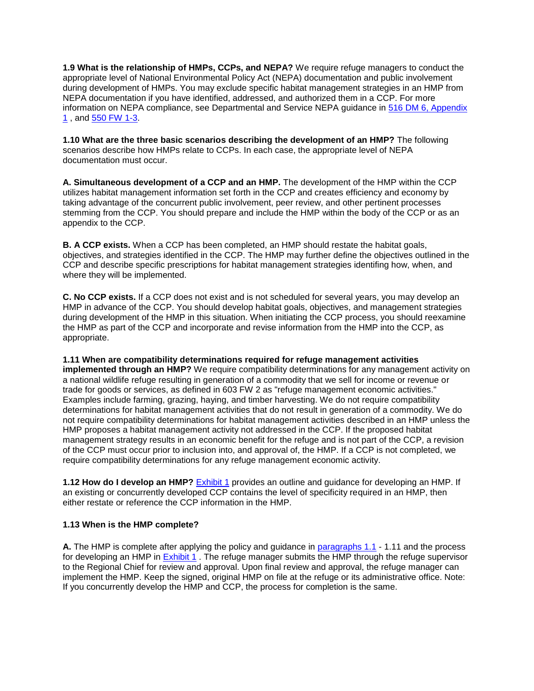**1.9 What is the relationship of HMPs, CCPs, and NEPA?** We require refuge managers to conduct the appropriate level of National Environmental Policy Act (NEPA) documentation and public involvement during development of HMPs. You may exclude specific habitat management strategies in an HMP from NEPA documentation if you have identified, addressed, and authorized them in a CCP. For more information on NEPA compliance, see Departmental and Service NEPA guidance in [516 DM 6, Appendix](http://elips.doi.gov/)  [1](http://elips.doi.gov/) , and [550 FW 1-3.](https://www.fws.gov/policy/ser500.html)

**1.10 What are the three basic scenarios describing the development of an HMP?** The following scenarios describe how HMPs relate to CCPs. In each case, the appropriate level of NEPA documentation must occur.

**A. Simultaneous development of a CCP and an HMP.** The development of the HMP within the CCP utilizes habitat management information set forth in the CCP and creates efficiency and economy by taking advantage of the concurrent public involvement, peer review, and other pertinent processes stemming from the CCP. You should prepare and include the HMP within the body of the CCP or as an appendix to the CCP.

**B. A CCP exists.** When a CCP has been completed, an HMP should restate the habitat goals, objectives, and strategies identified in the CCP. The HMP may further define the objectives outlined in the CCP and describe specific prescriptions for habitat management strategies identifing how, when, and where they will be implemented.

**C. No CCP exists.** If a CCP does not exist and is not scheduled for several years, you may develop an HMP in advance of the CCP. You should develop habitat goals, objectives, and management strategies during development of the HMP in this situation. When initiating the CCP process, you should reexamine the HMP as part of the CCP and incorporate and revise information from the HMP into the CCP, as appropriate.

### **1.11 When are compatibility determinations required for refuge management activities**

**implemented through an HMP?** We require compatibility determinations for any management activity on a national wildlife refuge resulting in generation of a commodity that we sell for income or revenue or trade for goods or services, as defined in 603 FW 2 as "refuge management economic activities." Examples include farming, grazing, haying, and timber harvesting. We do not require compatibility determinations for habitat management activities that do not result in generation of a commodity. We do not require compatibility determinations for habitat management activities described in an HMP unless the HMP proposes a habitat management activity not addressed in the CCP. If the proposed habitat management strategy results in an economic benefit for the refuge and is not part of the CCP, a revision of the CCP must occur prior to inclusion into, and approval of, the HMP. If a CCP is not completed, we require compatibility determinations for any refuge management economic activity.

**1.12 How do I develop an HMP?** [Exhibit 1](https://www.fws.gov/policy/e1620fw1.html) provides an outline and guidance for developing an HMP. If an existing or concurrently developed CCP contains the level of specificity required in an HMP, then either restate or reference the CCP information in the HMP.

### **1.13 When is the HMP complete?**

**A.** The HMP is complete after applying the policy and guidance in [paragraphs 1.1](https://www.fws.gov/policy/620fw1.html#1.11) - 1.11 and the process for developing an HMP in [Exhibit 1](https://www.fws.gov/policy/e1620fw1.html). The refuge manager submits the HMP through the refuge supervisor to the Regional Chief for review and approval. Upon final review and approval, the refuge manager can implement the HMP. Keep the signed, original HMP on file at the refuge or its administrative office. Note: If you concurrently develop the HMP and CCP, the process for completion is the same.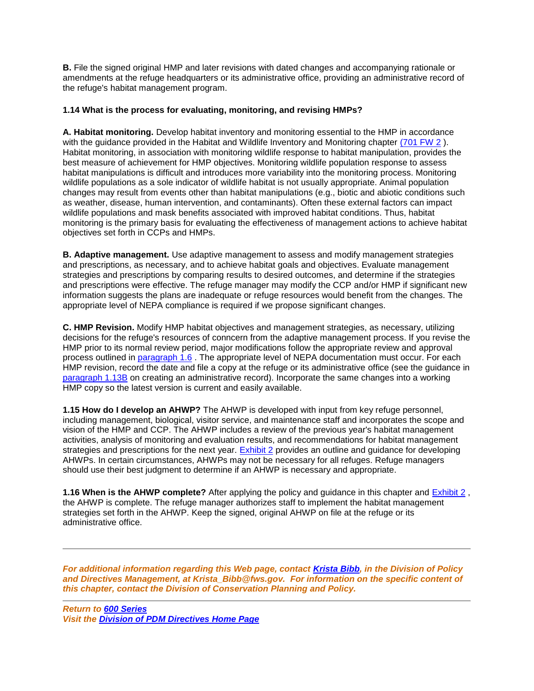**B.** File the signed original HMP and later revisions with dated changes and accompanying rationale or amendments at the refuge headquarters or its administrative office, providing an administrative record of the refuge's habitat management program.

## **1.14 What is the process for evaluating, monitoring, and revising HMPs?**

**A. Habitat monitoring.** Develop habitat inventory and monitoring essential to the HMP in accordance with the quidance provided in the Habitat and Wildlife Inventory and Monitoring chapter [\(701 FW 2](https://www.fws.gov/policy/701fw2.html)). Habitat monitoring, in association with monitoring wildlife response to habitat manipulation, provides the best measure of achievement for HMP objectives. Monitoring wildlife population response to assess habitat manipulations is difficult and introduces more variability into the monitoring process. Monitoring wildlife populations as a sole indicator of wildlife habitat is not usually appropriate. Animal population changes may result from events other than habitat manipulations (e.g., biotic and abiotic conditions such as weather, disease, human intervention, and contaminants). Often these external factors can impact wildlife populations and mask benefits associated with improved habitat conditions. Thus, habitat monitoring is the primary basis for evaluating the effectiveness of management actions to achieve habitat objectives set forth in CCPs and HMPs.

**B. Adaptive management.** Use adaptive management to assess and modify management strategies and prescriptions, as necessary, and to achieve habitat goals and objectives. Evaluate management strategies and prescriptions by comparing results to desired outcomes, and determine if the strategies and prescriptions were effective. The refuge manager may modify the CCP and/or HMP if significant new information suggests the plans are inadequate or refuge resources would benefit from the changes. The appropriate level of NEPA compliance is required if we propose significant changes.

**C. HMP Revision.** Modify HMP habitat objectives and management strategies, as necessary, utilizing decisions for the refuge's resources of conncern from the adaptive management process. If you revise the HMP prior to its normal review period, major modifications follow the appropriate review and approval process outlined in [paragraph 1.6](https://www.fws.gov/policy/620fw1.html#1.6) . The appropriate level of NEPA documentation must occur. For each HMP revision, record the date and file a copy at the refuge or its administrative office (see the guidance in [paragraph 1.13B](https://www.fws.gov/policy/620fw1.html#1.13) on creating an administrative record). Incorporate the same changes into a working HMP copy so the latest version is current and easily available.

**1.15 How do I develop an AHWP?** The AHWP is developed with input from key refuge personnel, including management, biological, visitor service, and maintenance staff and incorporates the scope and vision of the HMP and CCP. The AHWP includes a review of the previous year's habitat management activities, analysis of monitoring and evaluation results, and recommendations for habitat management strategies and prescriptions for the next year. [Exhibit 2](https://www.fws.gov/policy/e2620fw1.html) provides an outline and guidance for developing AHWPs. In certain circumstances, AHWPs may not be necessary for all refuges. Refuge managers should use their best judgment to determine if an AHWP is necessary and appropriate.

**1.16 When is the AHWP complete?** After applying the policy and guidance in this chapter and [Exhibit 2](https://www.fws.gov/policy/e2620fw1.html) , the AHWP is complete. The refuge manager authorizes staff to implement the habitat management strategies set forth in the AHWP. Keep the signed, original AHWP on file at the refuge or its administrative office.

*For additional information regarding this Web page, contact [Krista Bibb,](mailto:Krista_Bibb@fws.gov) in the Division of Policy and Directives Management, at Krista\_Bibb@fws.gov. For information on the specific content of this chapter, contact the Division of Conservation Planning and Policy.* 

*Return to [600 Series](https://www.fws.gov/policy/ser600.html) Visit the [Division of PDM Directives Home Page](https://www.fws.gov/policy/direct.html)*